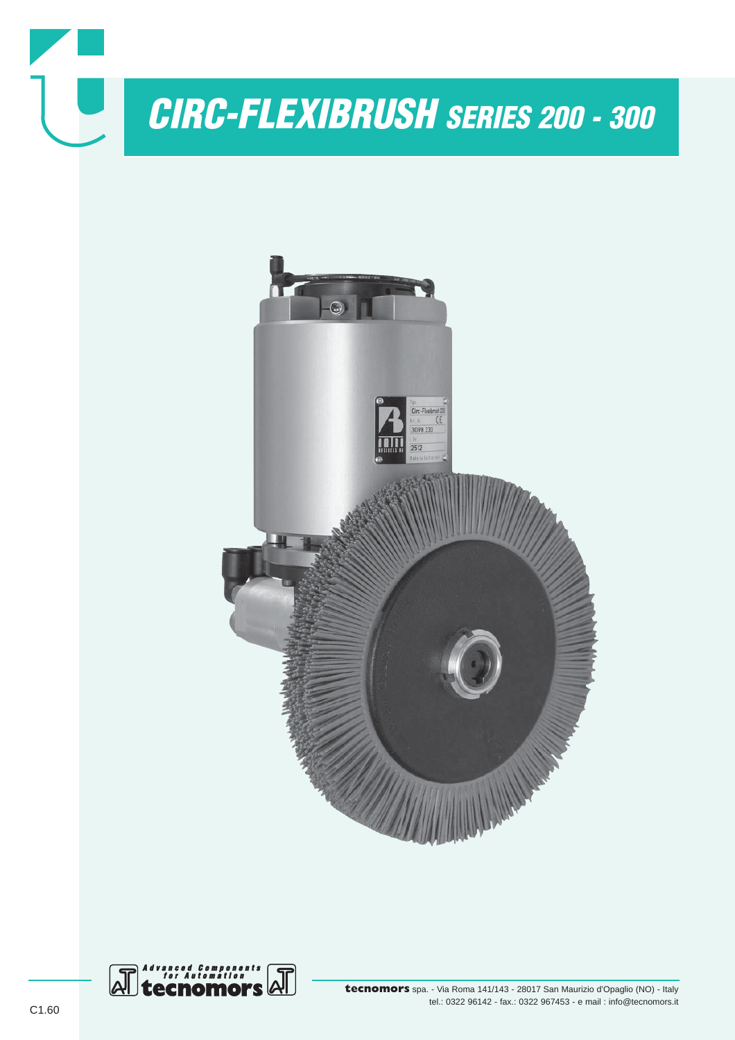

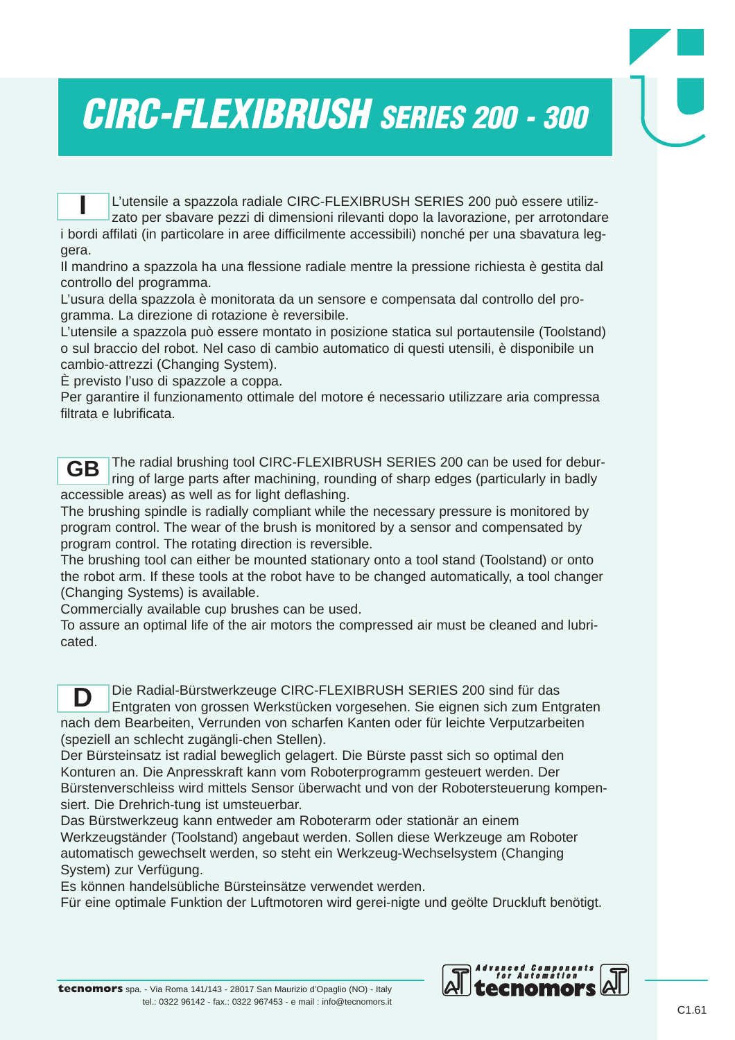## *CIRC-FLEXIBRUSH SERIES 200 - 300*

L'utensile a spazzola radiale CIRC-FLEXIBRUSH SERIES 200 può essere utilizzato per sbavare pezzi di dimensioni rilevanti dopo la lavorazione, per arrotondare i bordi affilati (in particolare in aree difficilmente accessibili) nonché per una sbavatura leggera. **I**

Il mandrino a spazzola ha una flessione radiale mentre la pressione richiesta è gestita dal controllo del programma.

L'usura della spazzola è monitorata da un sensore e compensata dal controllo del programma. La direzione di rotazione è reversibile.

L'utensile a spazzola può essere montato in posizione statica sul portautensile (Toolstand) o sul braccio del robot. Nel caso di cambio automatico di questi utensili, è disponibile un cambio-attrezzi (Changing System).

È previsto l'uso di spazzole a coppa.

Per garantire il funzionamento ottimale del motore é necessario utilizzare aria compressa filtrata e lubrificata.

The radial brushing tool CIRC-FLEXIBRUSH SERIES 200 can be used for deburring of large parts after machining, rounding of sharp edges (particularly in badly accessible areas) as well as for light deflashing. **GB**

The brushing spindle is radially compliant while the necessary pressure is monitored by program control. The wear of the brush is monitored by a sensor and compensated by program control. The rotating direction is reversible.

The brushing tool can either be mounted stationary onto a tool stand (Toolstand) or onto the robot arm. If these tools at the robot have to be changed automatically, a tool changer (Changing Systems) is available.

Commercially available cup brushes can be used.

To assure an optimal life of the air motors the compressed air must be cleaned and lubricated.

Die Radial-Bürstwerkzeuge CIRC-FLEXIBRUSH SERIES 200 sind für das Entgraten von grossen Werkstücken vorgesehen. Sie eignen sich zum Entgraten nach dem Bearbeiten, Verrunden von scharfen Kanten oder für leichte Verputzarbeiten (speziell an schlecht zugängli-chen Stellen). **D**

Der Bürsteinsatz ist radial beweglich gelagert. Die Bürste passt sich so optimal den Konturen an. Die Anpresskraft kann vom Roboterprogramm gesteuert werden. Der Bürstenverschleiss wird mittels Sensor überwacht und von der Robotersteuerung kompensiert. Die Drehrich-tung ist umsteuerbar.

Das Bürstwerkzeug kann entweder am Roboterarm oder stationär an einem Werkzeugständer (Toolstand) angebaut werden. Sollen diese Werkzeuge am Roboter automatisch gewechselt werden, so steht ein Werkzeug-Wechselsystem (Changing System) zur Verfügung.

Es können handelsübliche Bürsteinsätze verwendet werden.

Für eine optimale Funktion der Luftmotoren wird gerei-nigte und geölte Druckluft benötigt.

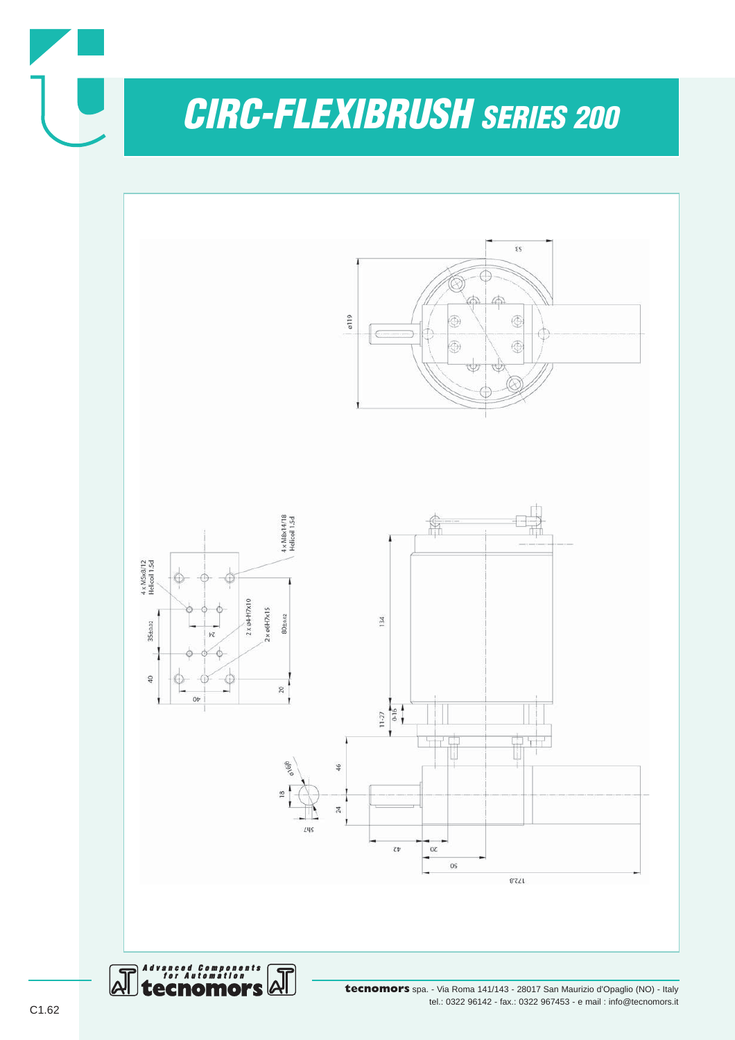*CIRC-FLEXIBRUSH SERIES 200*

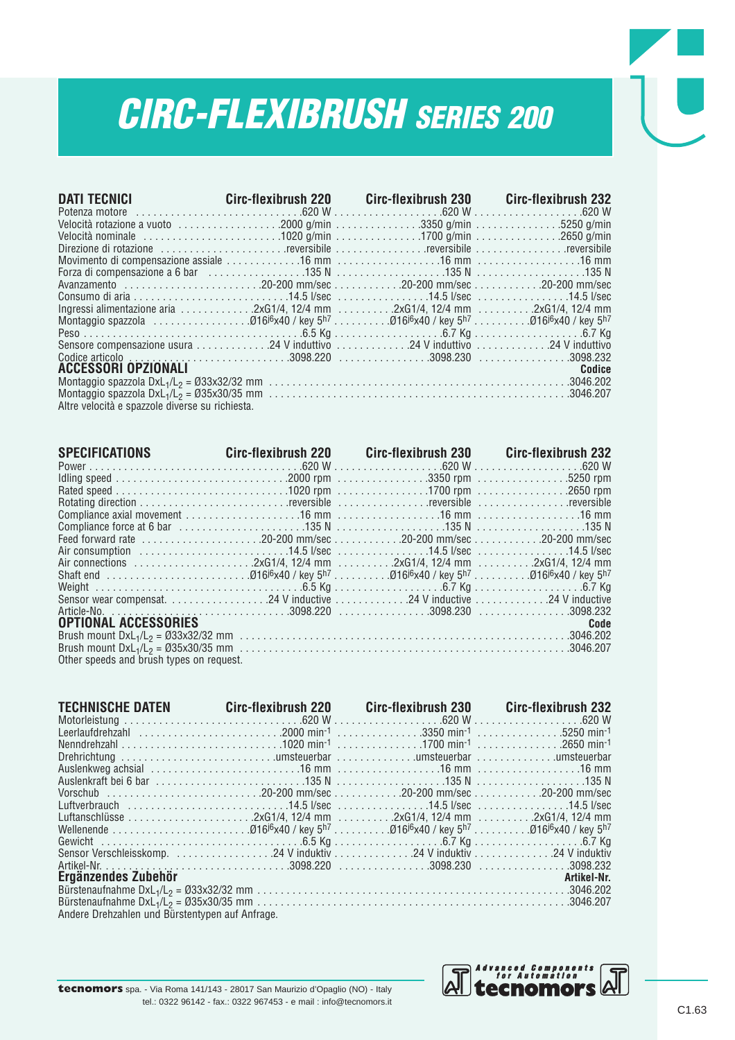## *CIRC-FLEXIBRUSH SERIES 200*

| <b>DATI TECNICI</b> Circ-flexibrush 220 Circ-flexibrush 230 Circ-flexibrush 232                                                                                                                                                |  |        |
|--------------------------------------------------------------------------------------------------------------------------------------------------------------------------------------------------------------------------------|--|--------|
|                                                                                                                                                                                                                                |  |        |
|                                                                                                                                                                                                                                |  |        |
|                                                                                                                                                                                                                                |  |        |
| Direzione di rotazione contra contra contra controllare contra controllare controllare controllare controllare controller controller controller controller controller controller controller controller controller controller c |  |        |
|                                                                                                                                                                                                                                |  |        |
|                                                                                                                                                                                                                                |  |        |
|                                                                                                                                                                                                                                |  |        |
|                                                                                                                                                                                                                                |  |        |
| lngressi alimentazione aria 2xG1/4, 12/4 mm 2xG1/4, 12/4 mm 2xG1/4, 12/4 mm                                                                                                                                                    |  |        |
|                                                                                                                                                                                                                                |  |        |
|                                                                                                                                                                                                                                |  |        |
|                                                                                                                                                                                                                                |  |        |
|                                                                                                                                                                                                                                |  |        |
| <b>ACCESSORI OPZIONALI</b>                                                                                                                                                                                                     |  | Codice |
|                                                                                                                                                                                                                                |  |        |
|                                                                                                                                                                                                                                |  |        |
| Altre velocità e spazzole diverse su richiesta.                                                                                                                                                                                |  |        |

| SPECIFICATIONS Circ-flexibrush 220 Circ-flexibrush 230 Circ-flexibrush 232 |  |      |
|----------------------------------------------------------------------------|--|------|
|                                                                            |  |      |
|                                                                            |  |      |
|                                                                            |  |      |
|                                                                            |  |      |
|                                                                            |  |      |
|                                                                            |  |      |
|                                                                            |  |      |
|                                                                            |  |      |
|                                                                            |  |      |
|                                                                            |  |      |
|                                                                            |  |      |
|                                                                            |  |      |
|                                                                            |  |      |
| <b>OPTIONAL ACCESSORIES</b>                                                |  | Code |
|                                                                            |  |      |
|                                                                            |  |      |
| Other speeds and brush types on request.                                   |  |      |

| TECHNISCHE DATEN Circ-flexibrush 220 Circ-flexibrush 230 Circ-flexibrush 232 |  |             |
|------------------------------------------------------------------------------|--|-------------|
|                                                                              |  |             |
|                                                                              |  |             |
|                                                                              |  |             |
|                                                                              |  |             |
|                                                                              |  |             |
|                                                                              |  |             |
|                                                                              |  |             |
|                                                                              |  |             |
|                                                                              |  |             |
|                                                                              |  |             |
|                                                                              |  |             |
|                                                                              |  |             |
|                                                                              |  |             |
| Ergänzendes Zubehör                                                          |  | Artikel-Nr. |
|                                                                              |  |             |
|                                                                              |  |             |
| Analous Dushmables und Dünstenbusse auf Anfrons                              |  |             |

Andere Drehzahlen und Bürstentypen auf Anfrage.

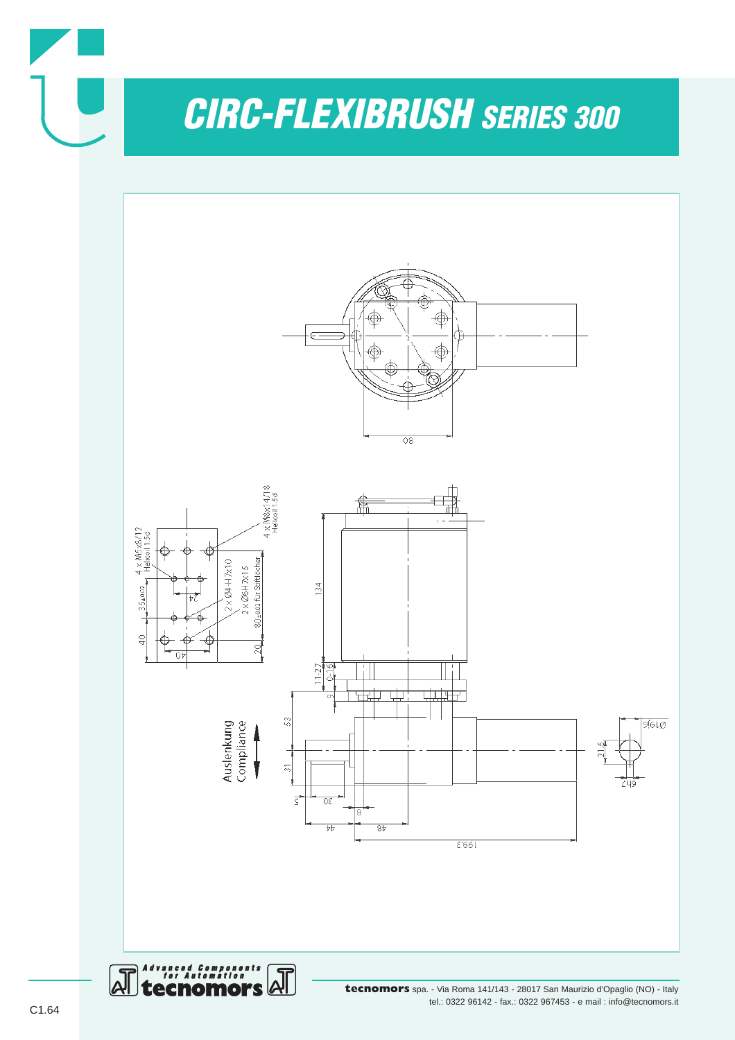